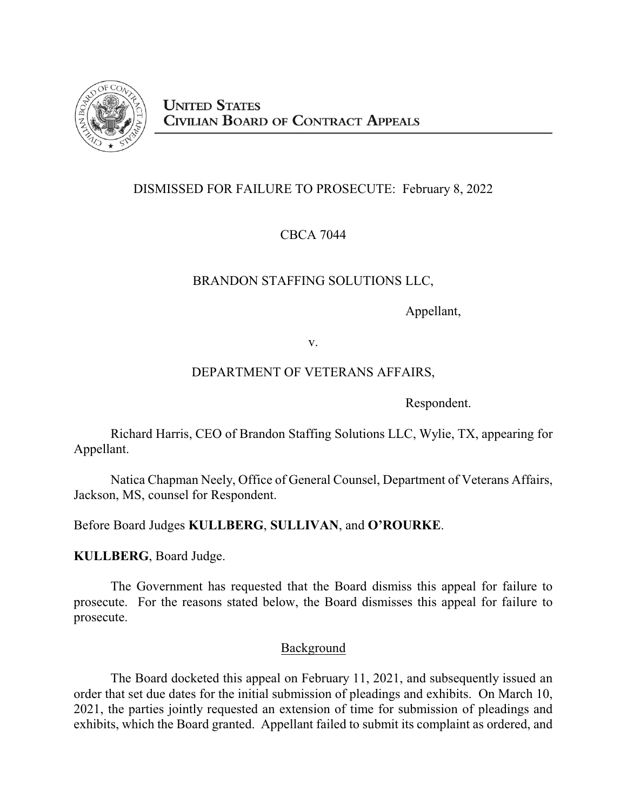

# DISMISSED FOR FAILURE TO PROSECUTE: February 8, 2022

CBCA 7044

# BRANDON STAFFING SOLUTIONS LLC,

Appellant,

v.

# DEPARTMENT OF VETERANS AFFAIRS,

Respondent.

Richard Harris, CEO of Brandon Staffing Solutions LLC, Wylie, TX, appearing for Appellant.

Natica Chapman Neely, Office of General Counsel, Department of Veterans Affairs, Jackson, MS, counsel for Respondent.

Before Board Judges **KULLBERG**, **SULLIVAN**, and **O'ROURKE**.

**KULLBERG**, Board Judge.

The Government has requested that the Board dismiss this appeal for failure to prosecute. For the reasons stated below, the Board dismisses this appeal for failure to prosecute.

### Background

The Board docketed this appeal on February 11, 2021, and subsequently issued an order that set due dates for the initial submission of pleadings and exhibits. On March 10, 2021, the parties jointly requested an extension of time for submission of pleadings and exhibits, which the Board granted. Appellant failed to submit its complaint as ordered, and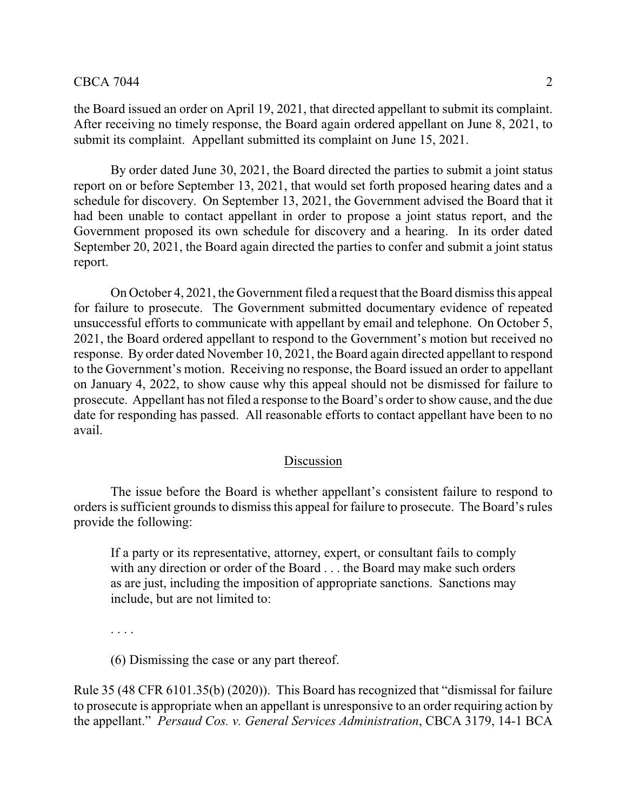the Board issued an order on April 19, 2021, that directed appellant to submit its complaint. After receiving no timely response, the Board again ordered appellant on June 8, 2021, to submit its complaint. Appellant submitted its complaint on June 15, 2021.

By order dated June 30, 2021, the Board directed the parties to submit a joint status report on or before September 13, 2021, that would set forth proposed hearing dates and a schedule for discovery. On September 13, 2021, the Government advised the Board that it had been unable to contact appellant in order to propose a joint status report, and the Government proposed its own schedule for discovery and a hearing. In its order dated September 20, 2021, the Board again directed the parties to confer and submit a joint status report.

On October 4, 2021, the Government filed a request that the Board dismiss this appeal for failure to prosecute. The Government submitted documentary evidence of repeated unsuccessful efforts to communicate with appellant by email and telephone. On October 5, 2021, the Board ordered appellant to respond to the Government's motion but received no response. By order dated November 10, 2021, the Board again directed appellant to respond to the Government's motion. Receiving no response, the Board issued an order to appellant on January 4, 2022, to show cause why this appeal should not be dismissed for failure to prosecute. Appellant has not filed a response to the Board's order to show cause, and the due date for responding has passed. All reasonable efforts to contact appellant have been to no avail.

### Discussion

The issue before the Board is whether appellant's consistent failure to respond to orders is sufficient grounds to dismiss this appeal for failure to prosecute. The Board's rules provide the following:

If a party or its representative, attorney, expert, or consultant fails to comply with any direction or order of the Board . . . the Board may make such orders as are just, including the imposition of appropriate sanctions. Sanctions may include, but are not limited to:

. . . .

(6) Dismissing the case or any part thereof.

Rule 35 (48 CFR 6101.35(b) (2020)). This Board has recognized that "dismissal for failure to prosecute is appropriate when an appellant is unresponsive to an order requiring action by the appellant." *Persaud Cos. v. General Services Administration*, CBCA 3179, 14-1 BCA